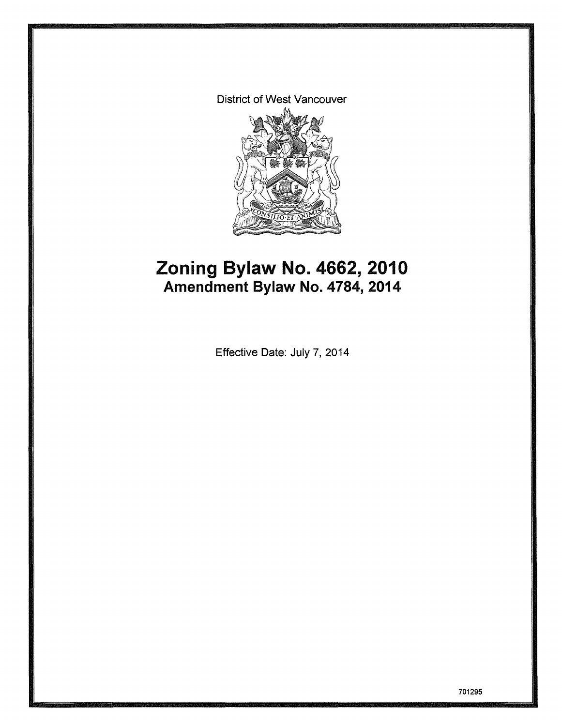District of West Vancouver



# **Zoning Bylaw No. 4662,2010 Amendment Bylaw No. 4784, 2014**

Effective Date: July 7, 2014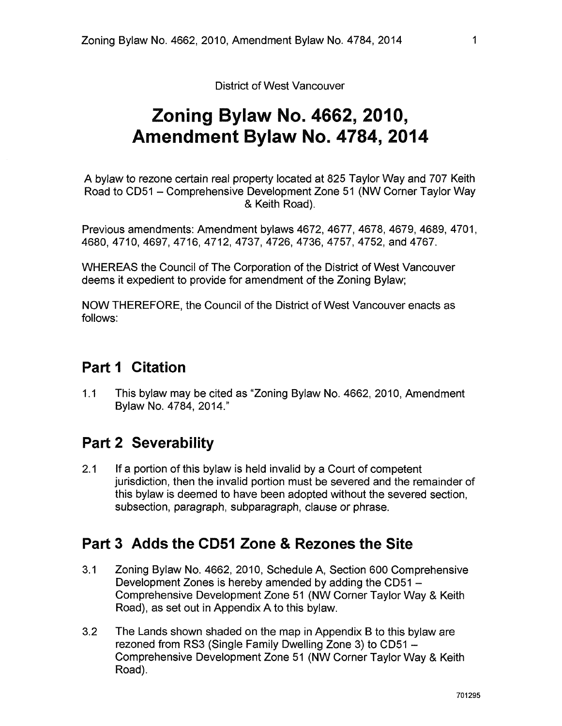District of West Vancouver

# **Zoning Bylaw No. 4662, 2010, Amendment Bylaw No. 4784, 2014**

A bylaw to rezone certain real property located at 825 Taylor Way and 707 Keith Road to CD51 - Comprehensive Development Zone 51 (NW Corner Taylor Way & Keith Road).

Previous amendments: Amendment bylaws 4672, 4677, 4678, 4679, 4689, 4701, 4680,4710,4697,4716,4712,4737,4726, 4736,4757,4752,and4 767.

WHEREAS the Council of The Corporation of the District of West Vancouver deems it expedient to provide for amendment of the Zoning Bylaw;

NOW THEREFORE, the Council of the District of West Vancouver enacts as follows:

## **Part 1 Citation**

1.1 This bylaw may be cited as "Zoning Bylaw No. 4662, 2010, Amendment Bylaw No. 4784, 2014."

## **Part 2 Severability**

2.1 If a portion of this bylaw is held invalid by a Court of competent jurisdiction, then the invalid portion must be severed and the remainder of this bylaw is deemed to have been adopted without the severed section, subsection, paragraph, subparagraph, clause or phrase.

## **Part 3 Adds the CD51 Zone & Rezones the Site**

- 3.1 Zoning Bylaw No. 4662, 2010, Schedule A, Section 600 Comprehensive Development Zones is hereby amended by adding the CD51 -Comprehensive Development Zone 51 (NW Corner Taylor Way & Keith Road), as set out in Appendix A to this bylaw.
- 3.2 The Lands shown shaded on the map in Appendix B to this bylaw are rezoned from RS3 (Single Family Dwelling Zone 3) to CD51 -Comprehensive Development Zone 51 (NW Corner Taylor Way & Keith Road).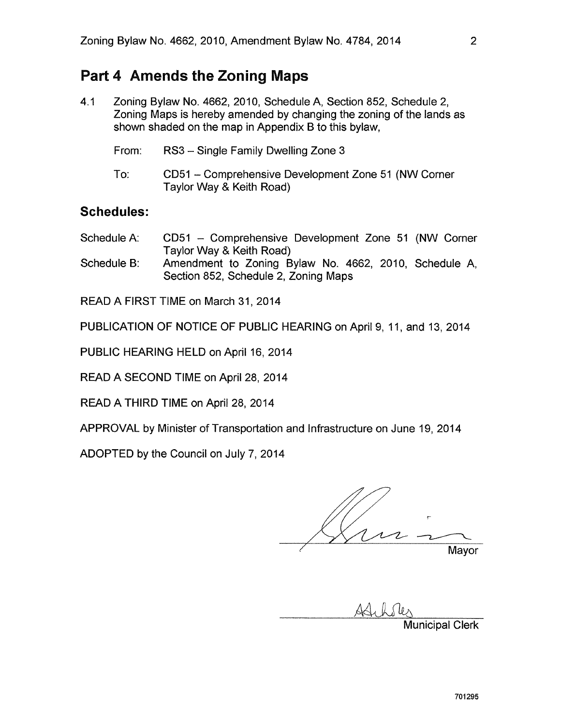### **Part 4 Amends the Zoning Maps**

- 4.1 Zoning Bylaw No. 4662, 2010, Schedule A, Section 852, Schedule 2, Zoning Maps is hereby amended by changing the zoning of the lands as shown shaded on the map in Appendix B to this bylaw,
	- From: RS3 Single Family Dwelling Zone 3 To: CD51 - Comprehensive Development Zone 51 (NW Corner

Taylor Way & Keith Road)

### **Schedules:**

| Schedule A: | CD51 – Comprehensive Development Zone 51 (NW Corner |
|-------------|-----------------------------------------------------|
|             | Taylor Way & Keith Road)                            |
| .           | $\overline{\phantom{a}}$<br>.<br>. .                |

Schedule B: Amendment to Zoning Bylaw No. 4662, 2010, Schedule A, Section 852, Schedule 2, Zoning Maps

READ A FIRST TIME on March 31, 2014

PUBLICATION OF NOTICE OF PUBLIC HEARING on April 9, 11, and 13,2014

PUBLIC HEARING HELD on April 16, 2014

READ A SECOND TIME on April 28, 2014

READ A THIRD TIME on April 28, 2014

APPROVAL by Minister of Transportation and Infrastructure on June 19, 2014

ADOPTED by the Council on July 7,2014

r Mayor

Municipal Clerk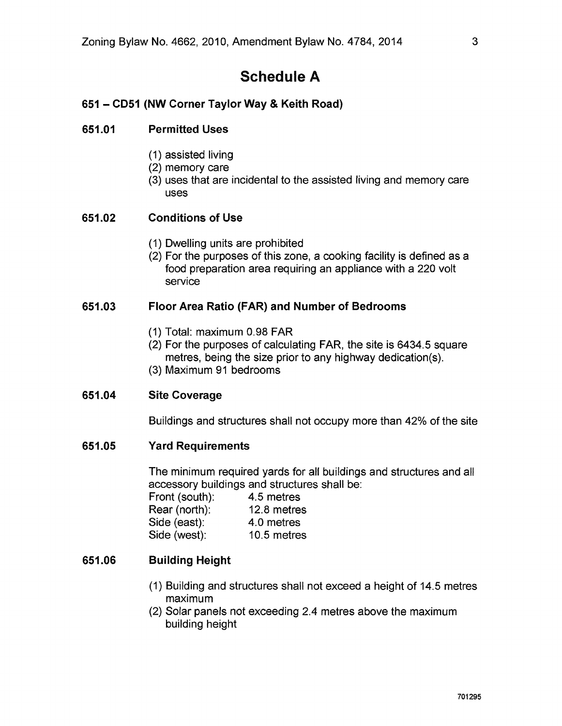## **Schedule A**

### **651 - CD51 (NW Corner Taylor Way & Keith Road)**

#### **651.01 Perm itted Uses**

- (1) assisted living
- (2) memory care
- (3) uses that are incidental to the assisted living and memory care uses

#### **651.02 Conditions of Use**

- (1) Dwelling units are prohibited
- (2) For the purposes of this zone, a cooking facility is defined as a food preparation area requiring an appliance with a 220 volt service

#### **651.03 Floor Area Ratio (FAR) and Number of Bedrooms**

- (1) Total: maximum 0.98 FAR
- (2) For the purposes of calculating FAR, the site is 6434.5 square metres, being the size prior to any highway dedication(s).
- (3) Maximum 91 bedrooms

#### **651.04 Site Coverage**

Buildings and structures shall not occupy more than 42% of the site

#### **651.05 Yard Requirements**

The minimum required yards for all buildings and structures and all accessory buildings and structures shall be:

| Front (south): | 4.5 metres  |
|----------------|-------------|
| Rear (north):  | 12.8 metres |
| Side (east):   | 4.0 metres  |
| Side (west):   | 10.5 metres |

#### **651.06 Building Height**

- (1) Building and structures shall not exceed a height of 14.5 metres maximum
- (2) Solar panels not exceeding 2.4 metres above the maximum building height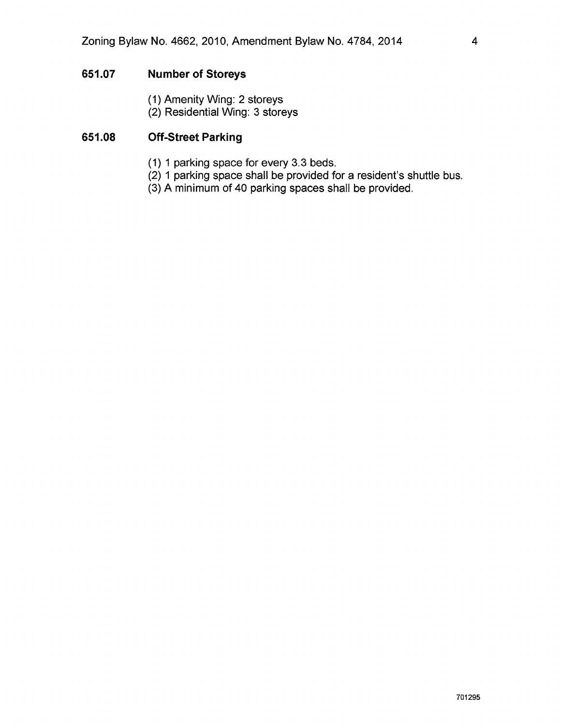#### **651.07 Number of Storeys**

- (1) Amenity Wing: 2 storeys
- (2) Residential Wing: 3 storeys

#### **651.08 Off-Street Parking**

- (1) 1 parking space for every 3.3 beds.
- (2) 1 parking space shall be provided for a resident's shuttle bus.
- (3) A minimum of 40 parking spaces shall be provided.